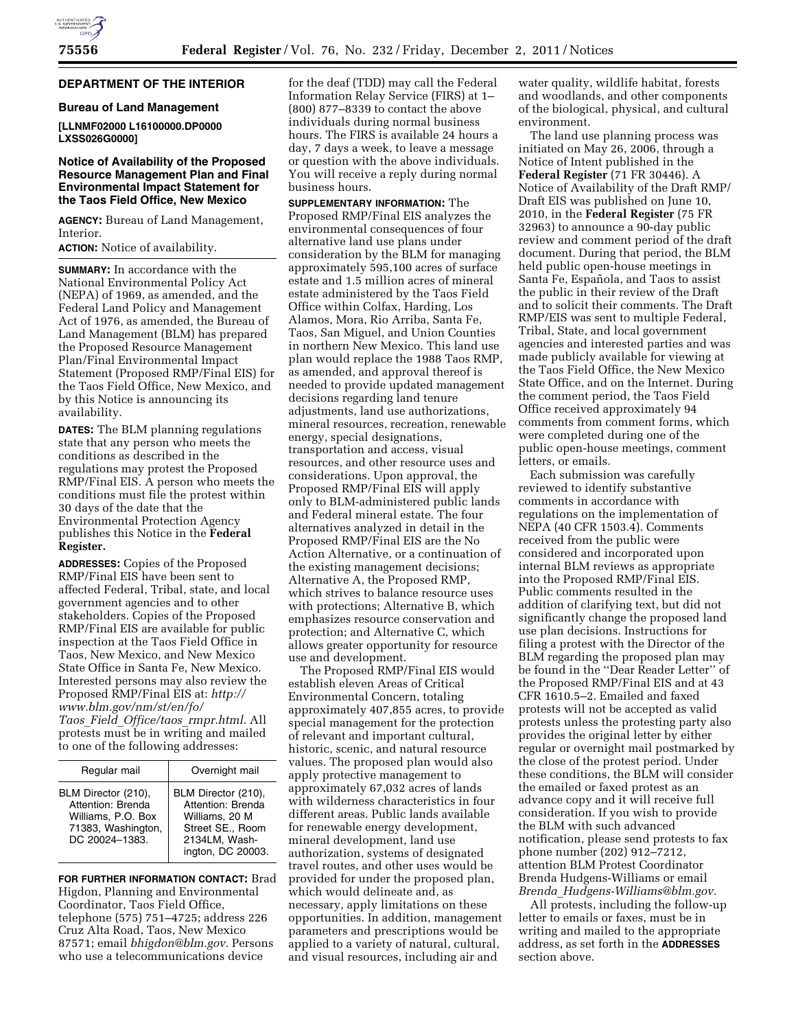# **DEPARTMENT OF THE INTERIOR**

#### **Bureau of Land Management**

## **[LLNMF02000 L16100000.DP0000 LXSS026G0000]**

### **Notice of Availability of the Proposed Resource Management Plan and Final Environmental Impact Statement for the Taos Field Office, New Mexico**

**AGENCY:** Bureau of Land Management, Interior.

**ACTION:** Notice of availability.

**SUMMARY:** In accordance with the National Environmental Policy Act (NEPA) of 1969, as amended, and the Federal Land Policy and Management Act of 1976, as amended, the Bureau of Land Management (BLM) has prepared the Proposed Resource Management Plan/Final Environmental Impact Statement (Proposed RMP/Final EIS) for the Taos Field Office, New Mexico, and by this Notice is announcing its availability.

**DATES:** The BLM planning regulations state that any person who meets the conditions as described in the regulations may protest the Proposed RMP/Final EIS. A person who meets the conditions must file the protest within 30 days of the date that the Environmental Protection Agency publishes this Notice in the **Federal Register.** 

**ADDRESSES:** Copies of the Proposed RMP/Final EIS have been sent to affected Federal, Tribal, state, and local government agencies and to other stakeholders. Copies of the Proposed RMP/Final EIS are available for public inspection at the Taos Field Office in Taos, New Mexico, and New Mexico State Office in Santa Fe, New Mexico. Interested persons may also review the Proposed RMP/Final EIS at: *[http://](http://www.blm.gov/nm/st/en/fo/Taos_Field_Office/taos_rmpr.html)  [www.blm.gov/nm/st/en/fo/](http://www.blm.gov/nm/st/en/fo/Taos_Field_Office/taos_rmpr.html)  Taos*\_*Field*\_*[Office/taos](http://www.blm.gov/nm/st/en/fo/Taos_Field_Office/taos_rmpr.html)*\_*rmpr.html.* All protests must be in writing and mailed to one of the following addresses:

| Regular mail                                                                                           | Overnight mail                                                                                                       |
|--------------------------------------------------------------------------------------------------------|----------------------------------------------------------------------------------------------------------------------|
| BLM Director (210),<br>Attention: Brenda<br>Williams, P.O. Box<br>71383, Washington,<br>DC 20024-1383. | BLM Director (210),<br>Attention: Brenda<br>Williams, 20 M<br>Street SE., Room<br>2134LM, Wash-<br>ington, DC 20003. |

**FOR FURTHER INFORMATION CONTACT:** Brad Higdon, Planning and Environmental Coordinator, Taos Field Office, telephone (575) 751–4725; address 226 Cruz Alta Road, Taos, New Mexico 87571; email *[bhigdon@blm.gov.](mailto:bhigdon@blm.gov)* Persons who use a telecommunications device

for the deaf (TDD) may call the Federal Information Relay Service (FIRS) at 1– (800) 877–8339 to contact the above individuals during normal business hours. The FIRS is available 24 hours a day, 7 days a week, to leave a message or question with the above individuals. You will receive a reply during normal business hours.

**SUPPLEMENTARY INFORMATION:** The Proposed RMP/Final EIS analyzes the environmental consequences of four alternative land use plans under consideration by the BLM for managing approximately 595,100 acres of surface estate and 1.5 million acres of mineral estate administered by the Taos Field Office within Colfax, Harding, Los Alamos, Mora, Rio Arriba, Santa Fe, Taos, San Miguel, and Union Counties in northern New Mexico. This land use plan would replace the 1988 Taos RMP, as amended, and approval thereof is needed to provide updated management decisions regarding land tenure adjustments, land use authorizations, mineral resources, recreation, renewable energy, special designations, transportation and access, visual resources, and other resource uses and considerations. Upon approval, the Proposed RMP/Final EIS will apply only to BLM-administered public lands and Federal mineral estate. The four alternatives analyzed in detail in the Proposed RMP/Final EIS are the No Action Alternative, or a continuation of the existing management decisions; Alternative A, the Proposed RMP, which strives to balance resource uses with protections; Alternative B, which emphasizes resource conservation and protection; and Alternative C, which allows greater opportunity for resource use and development.

The Proposed RMP/Final EIS would establish eleven Areas of Critical Environmental Concern, totaling approximately 407,855 acres, to provide special management for the protection of relevant and important cultural, historic, scenic, and natural resource values. The proposed plan would also apply protective management to approximately 67,032 acres of lands with wilderness characteristics in four different areas. Public lands available for renewable energy development, mineral development, land use authorization, systems of designated travel routes, and other uses would be provided for under the proposed plan, which would delineate and, as necessary, apply limitations on these opportunities. In addition, management parameters and prescriptions would be applied to a variety of natural, cultural, and visual resources, including air and

water quality, wildlife habitat, forests and woodlands, and other components of the biological, physical, and cultural environment.

The land use planning process was initiated on May 26, 2006, through a Notice of Intent published in the **Federal Register** (71 FR 30446). A Notice of Availability of the Draft RMP/ Draft EIS was published on June 10, 2010, in the **Federal Register** (75 FR 32963) to announce a 90-day public review and comment period of the draft document. During that period, the BLM held public open-house meetings in Santa Fe, Española, and Taos to assist the public in their review of the Draft and to solicit their comments. The Draft RMP/EIS was sent to multiple Federal, Tribal, State, and local government agencies and interested parties and was made publicly available for viewing at the Taos Field Office, the New Mexico State Office, and on the Internet. During the comment period, the Taos Field Office received approximately 94 comments from comment forms, which were completed during one of the public open-house meetings, comment letters, or emails.

Each submission was carefully reviewed to identify substantive comments in accordance with regulations on the implementation of NEPA (40 CFR 1503.4). Comments received from the public were considered and incorporated upon internal BLM reviews as appropriate into the Proposed RMP/Final EIS. Public comments resulted in the addition of clarifying text, but did not significantly change the proposed land use plan decisions. Instructions for filing a protest with the Director of the BLM regarding the proposed plan may be found in the ''Dear Reader Letter'' of the Proposed RMP/Final EIS and at 43 CFR 1610.5–2. Emailed and faxed protests will not be accepted as valid protests unless the protesting party also provides the original letter by either regular or overnight mail postmarked by the close of the protest period. Under these conditions, the BLM will consider the emailed or faxed protest as an advance copy and it will receive full consideration. If you wish to provide the BLM with such advanced notification, please send protests to fax phone number (202) 912–7212, attention BLM Protest Coordinator Brenda Hudgens-Williams or email *Brenda*\_*[Hudgens-Williams@blm.gov.](mailto:Brenda_Hudgens-Williams@blm.gov)* 

All protests, including the follow-up letter to emails or faxes, must be in writing and mailed to the appropriate address, as set forth in the **ADDRESSES** section above.